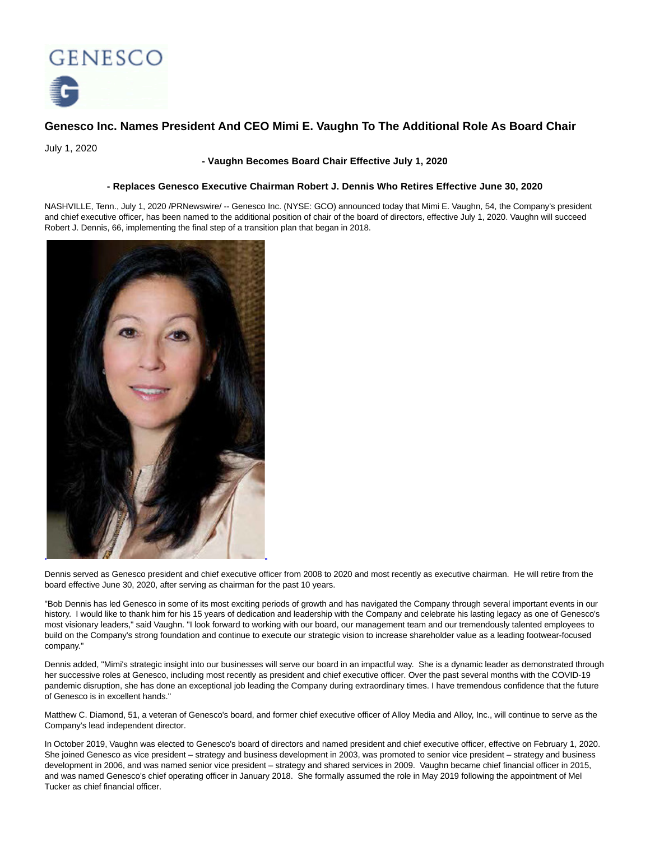

# **Genesco Inc. Names President And CEO Mimi E. Vaughn To The Additional Role As Board Chair**

July 1, 2020

## **- Vaughn Becomes Board Chair Effective July 1, 2020**

## **- Replaces Genesco Executive Chairman Robert J. Dennis Who Retires Effective June 30, 2020**

NASHVILLE, Tenn., July 1, 2020 /PRNewswire/ -- Genesco Inc. (NYSE: GCO) announced today that Mimi E. Vaughn, 54, the Company's president and chief executive officer, has been named to the additional position of chair of the board of directors, effective July 1, 2020. Vaughn will succeed Robert J. Dennis, 66, implementing the final step of a transition plan that began in 2018.



Dennis served as Genesco president and chief executive officer from 2008 to 2020 and most recently as executive chairman. He will retire from the board effective June 30, 2020, after serving as chairman for the past 10 years.

"Bob Dennis has led Genesco in some of its most exciting periods of growth and has navigated the Company through several important events in our history. I would like to thank him for his 15 years of dedication and leadership with the Company and celebrate his lasting legacy as one of Genesco's most visionary leaders," said Vaughn. "I look forward to working with our board, our management team and our tremendously talented employees to build on the Company's strong foundation and continue to execute our strategic vision to increase shareholder value as a leading footwear-focused company."

Dennis added, "Mimi's strategic insight into our businesses will serve our board in an impactful way. She is a dynamic leader as demonstrated through her successive roles at Genesco, including most recently as president and chief executive officer. Over the past several months with the COVID-19 pandemic disruption, she has done an exceptional job leading the Company during extraordinary times. I have tremendous confidence that the future of Genesco is in excellent hands."

Matthew C. Diamond, 51, a veteran of Genesco's board, and former chief executive officer of Alloy Media and Alloy, Inc., will continue to serve as the Company's lead independent director.

In October 2019, Vaughn was elected to Genesco's board of directors and named president and chief executive officer, effective on February 1, 2020. She joined Genesco as vice president – strategy and business development in 2003, was promoted to senior vice president – strategy and business development in 2006, and was named senior vice president – strategy and shared services in 2009. Vaughn became chief financial officer in 2015, and was named Genesco's chief operating officer in January 2018. She formally assumed the role in May 2019 following the appointment of Mel Tucker as chief financial officer.